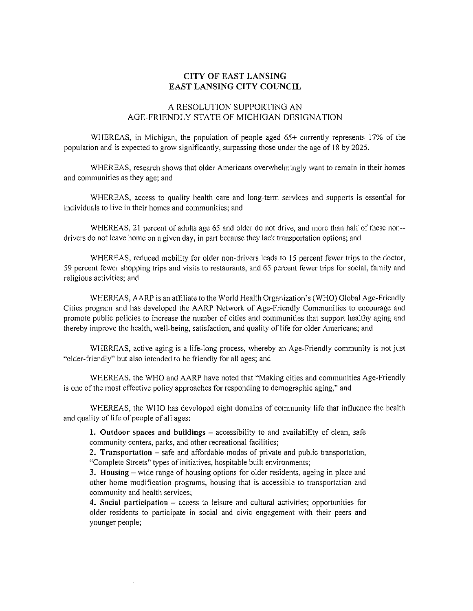## CITY OF EAST LANSING EAST LANSING CITY COUNCIL

## A RESOLUTION SUPPORTING AN AGE-FRIENDLY STATE OF MICHIGAN DESIGNATION

WHEREAS, in Michigan, the population of people aged 65+ currently represents 17% of the population and is expected to grow significantly, surpassing those under the age of 18 by 2025.

WHEREAS, research shows that older Americans overwhelmingly want to remain in their homes and communities as they age; and

WHEREAS, access to quality health care and long-term services and supports is essential for individuals to live in their homes and communities; and

WHEREAS, 21 percent of adults age 65 and older do not drive, and more than half of these non- drivers do not leave home on a given day, in part because they lack transportation options; and

WHEREAS, reduced mobility for older non-drivers leads to 15 percent fewer trips to the doctor, 59 percent fewer shopping trips and visits to restaurants, and 65 percent fewer trips for social, family and **religious activities; and** 

WHEREAS, AARP is an affiliate to the World Health Organization's (WHO) Global Age-Friendly Cities program and has developed the AARP Network of Age-Friendly Communities to encourage and promote public policies to increase the number of cities and communities that support healthy aging and thereby improve the health, well-being, satisfaction, and quality of life for older Americans; and

WHEREAS, active aging is a life-long process, whereby an Age-Friendly community is not just "elder-friendly" but also intended to be friendly for all ages; and

WHEREAS, the WHO and AARP have noted that "Making cities and communities Age-Friendly is one of the most effective policy approaches for responding to demographic aging," and

WHEREAS, the WHO has developed eight domains of community life that influence the health and quality of life of people of all ages:

1. Outdoor spaces and buildings  $-$  accessibility to and availability of clean, safe **community centers, parks, and other recreational facilities;** 

2. Transportation  $-$  safe and affordable modes of private and public transportation, "Complete Streets" types of initiatives, hospitable built environments;

3. Housing - wide range of housing options for older residents, ageing in place and other home modification programs, housing that is accessible to transportation and **community and health services;** 

4. Social participation - access to leisure and cultural activities; opportunities for older residents to participate in social and civic engagement with their peers and younger people;